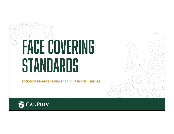# FACE covering **STANDARDS**

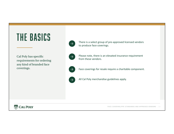# The basics

Cal Poly has specific requirements for ordering any kind of branded face coverings.



There is a select group of pre-approved licensed vendors to produce face coverings.



Please note, there is an elevated insurance requirement from these vendors.



Face coverings for resale require a charitable component.



All Cal Poly merchandise guidelines apply.

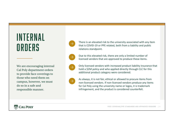## internal orders

We are encouraging internal Cal Poly department orders to provide face coverings to those who need them on campus, however, we must do so in a safe and responsible manner.



There is an elevated risk to the university associated with any item that is COVID-19 or PPE related, both from a liability and public relations standpoint.

Due to this elevated risk, there are only a limited number of licensed vendors that are approved to produce these items.

Only licensed vendors with increased product liability insurance that hold a \$2M policy and who applied directly through CLC for this additional product category were considered.



As always, it is not fair, ethical or allowed to procure items from non-licensed vendors. If non-licensed vendors produce any items for Cal Poly using the university name or logos, it is trademark infringement, and the product is considered counterfeit.

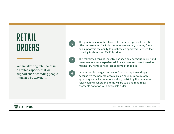# retail orders

We are allowing retail sales in a limited capacity that will support charities aiding people impacted by COVID-19.

The goal is to lessen the chance of counterfeit product, but still offer our extended Cal Poly community – alumni, parents, friends and supporters the ability to purchase an approved, licensed face covering to show their Cal Poly pride.

The collegiate licensing industry has seen an enormous decline and many vendors have experienced financial loss and have turned to making PPE items to help recoup some of that loss.

In order to discourage companies from making these simply because it's the new fad or to make an easy buck, we're only approving a small amount of vendors, restricting the number of retail channels where the items will be sold and requiring a charitable donation with any resale order.

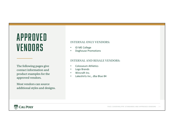## approved **VENDORS**

The following pages give contact information and product examples for the approved vendors.

Most vendors can source additional styles and designs.

#### **INTERNAL ONLY VENDORS:**

- ID ME College
- Doghouse Promotions

#### **INTERNAL AND RESALE VENDORS:**

- Colosseum Athletics
- Logo Brands
- Wincraft Inc.
- Lakeshirts Inc., dba Blue 84

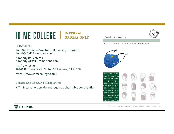#### ID ME COLLEGE | **INTERNAL ORDERS ONLY**

#### **CONTACT:**

Jodi Gechtman – Director of University Programs JodiG@IDMEPromotions.com

Kimberly Ballesteros Kimberly@IDMEPromotions.com

(818) 774-9500 18401 Burbank Blvd., Suite 116 Tarzana, CA 91356 https://www.idmecollege.com/

#### **CHARITABLE CONTRIBUTION:**

N/A – Internal orders do not require a charitable contribution



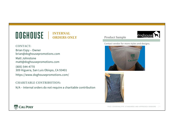### **DOGHOUSE** | INTERNAL **ORDERS ONLY**

#### **CONTACT:**

Brian Espy – Owner brian@doghousepromotions.com

Matt Johnstone matt@doghousepromotions.com

(805) 544-4770 309 Higuera, San Luis Obispo, CA 93401 https://www.doghousepromotions.com/

#### **CHARITABLE CONTRIBUTION:**

N/A – Internal orders do not require a charitable contribution

#### Product Sample



Contact vendor for more styles and designs.





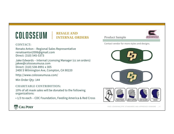### colosseum

### **RESALE AND INTERNAL ORDERS**

#### **CONTACT:**

Renato Anton – Regional Sales Representative renatoanton2006@gmail.com Direct: (310) 545-5373

Jake Edwards – Internal Licensing Manager (cc on orders) jakee@colosseumusa.com Direct: (310) 538-8991 x 305 2400 S Wilmington Ave, Compton, CA 90220

http://www.colosseumusa.com/

Min Order Qty: 144

#### **CHARITABLE CONTRIBUTION:**

10% of all mask sales will be donated to the following organizations:

• 1/3 to each – CDC Foundation, Feeding America & Red Cross





Contact vendor for more styles and designs.

Product Sample

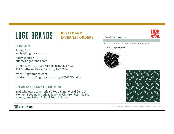#### LOGO BRANDS **RESALE AND INTERNAL ORDERS**

#### **CONTACT:**

Ashley Cox ashley@logobrands.com

Audra Winfree audra@logobrands.com

Direct: (615) 721-3608 Mobile: (615) 804-4932 117 Southeast Pkwy, Franklin, TN 37064

https://logobrands.com/ catalog: https://logobrands.com/pdf/2020Catalog

#### **CHARITABLE CONTRIBUTION:**

20% wholesale to America's Food Fund: World Central Kitchen, Feeding America, Save the Children U.S., No Kid Hungry, and Urban School Food Alliance



#### Product Sample

Contact vendor for more styles and designs.



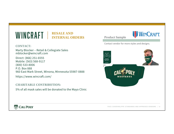#### WINCRAFT | **RESALE AND INTERNAL ORDERS**

#### **CONTACT:**

Marty Blocker – Retail & Collegiate Sales mblocker@wincraft.com

Direct: (866) 251-6555 Mobile: (563) 568-9117 (800) 533-8006 P.O. Box 888 960 East Mark Street, Winona, Minnesota 55987-0888

https://www.wincraft.com/

#### **CHARITABLE CONTRIBUTION:**

5% of all mask sales will be donated to the Mayo Clinic

#### Product Sample



Contact vendor for more styles and designs.



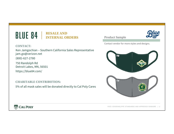### BLUE 84 | RESALE AND **INTERNAL ORDERS**

#### **CONTACT:**

Ken Jamgochian – Southern California Sales Representative jam.go@verizon.net

(800)-627-2780

750 Randolph Rd Detroit Lakes, MN, 56501 https://blue84.com/

**CHARITABLE CONTRIBUTION:**

5% of all mask sales will be donated directly to Cal Poly Cares

Product Sample Contact vendor for more styles and designs.AL POI